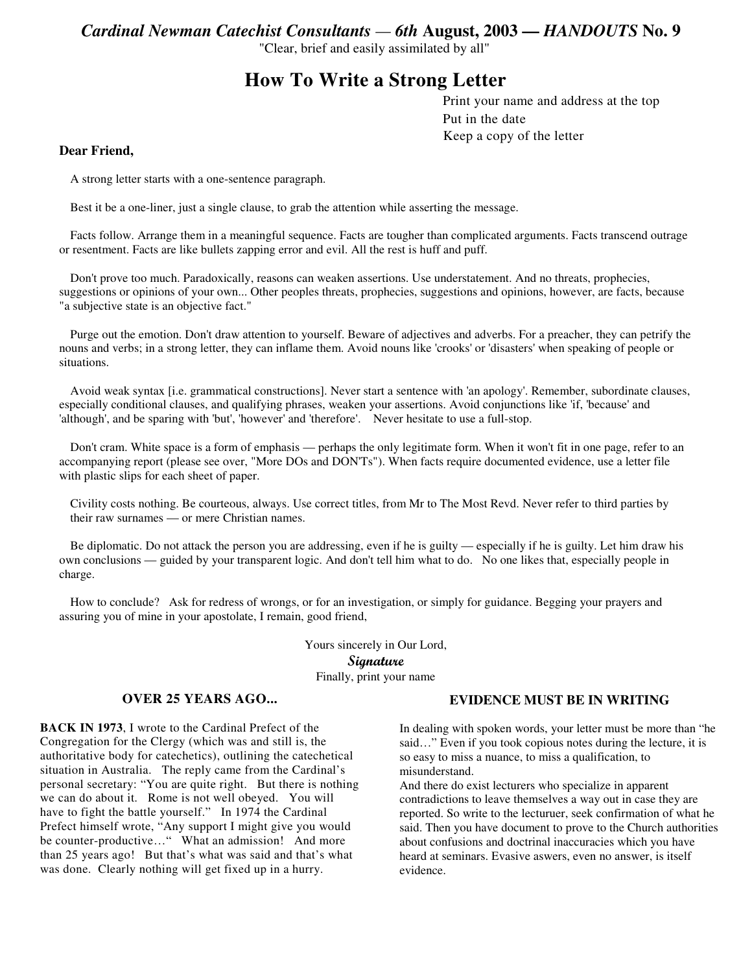*Cardinal Newman Catechist Consultants — 6th* **August, 2003 —** *HANDOUTS* **No. 9**

"Clear, brief and easily assimilated by all"

# **How To Write a Strong Letter**

Print your name and address at the top Put in the date Keep a copy of the letter

#### **Dear Friend,**

A strong letter starts with a one-sentence paragraph.

Best it be a one-liner, just a single clause, to grab the attention while asserting the message.

Facts follow. Arrange them in a meaningful sequence. Facts are tougher than complicated arguments. Facts transcend outrage or resentment. Facts are like bullets zapping error and evil. All the rest is huff and puff.

Don't prove too much. Paradoxically, reasons can weaken assertions. Use understatement. And no threats, prophecies, suggestions or opinions of your own... Other peoples threats, prophecies, suggestions and opinions, however, are facts, because "a subjective state is an objective fact."

Purge out the emotion. Don't draw attention to yourself. Beware of adjectives and adverbs. For a preacher, they can petrify the nouns and verbs; in a strong letter, they can inflame them. Avoid nouns like 'crooks' or 'disasters' when speaking of people or situations.

Avoid weak syntax [i.e. grammatical constructions]. Never start a sentence with 'an apology'. Remember, subordinate clauses, especially conditional clauses, and qualifying phrases, weaken your assertions. Avoid conjunctions like 'if, 'because' and 'although', and be sparing with 'but', 'however' and 'therefore'. Never hesitate to use a full-stop.

Don't cram. White space is a form of emphasis — perhaps the only legitimate form. When it won't fit in one page, refer to an accompanying report (please see over, "More DOs and DON'Ts"). When facts require documented evidence, use a letter file with plastic slips for each sheet of paper.

Civility costs nothing. Be courteous, always. Use correct titles, from Mr to The Most Revd. Never refer to third parties by their raw surnames — or mere Christian names.

Be diplomatic. Do not attack the person you are addressing, even if he is guilty — especially if he is guilty. Let him draw his own conclusions — guided by your transparent logic. And don't tell him what to do. No one likes that, especially people in charge.

How to conclude? Ask for redress of wrongs, or for an investigation, or simply for guidance. Begging your prayers and assuring you of mine in your apostolate, I remain, good friend,

> Yours sincerely in Our Lord, Signature Finally, print your name

## **OVER 25 YEARS AGO...**

**BACK IN 1973**, I wrote to the Cardinal Prefect of the Congregation for the Clergy (which was and still is, the authoritative body for catechetics), outlining the catechetical situation in Australia. The reply came from the Cardinal's personal secretary: "You are quite right. But there is nothing we can do about it. Rome is not well obeyed. You will have to fight the battle yourself." In 1974 the Cardinal Prefect himself wrote, "Any support I might give you would be counter-productive…" What an admission! And more than 25 years ago! But that's what was said and that's what was done. Clearly nothing will get fixed up in a hurry.

#### **EVIDENCE MUST BE IN WRITING**

In dealing with spoken words, your letter must be more than "he said…" Even if you took copious notes during the lecture, it is so easy to miss a nuance, to miss a qualification, to misunderstand.

And there do exist lecturers who specialize in apparent contradictions to leave themselves a way out in case they are reported. So write to the lecturuer, seek confirmation of what he said. Then you have document to prove to the Church authorities about confusions and doctrinal inaccuracies which you have heard at seminars. Evasive aswers, even no answer, is itself evidence.